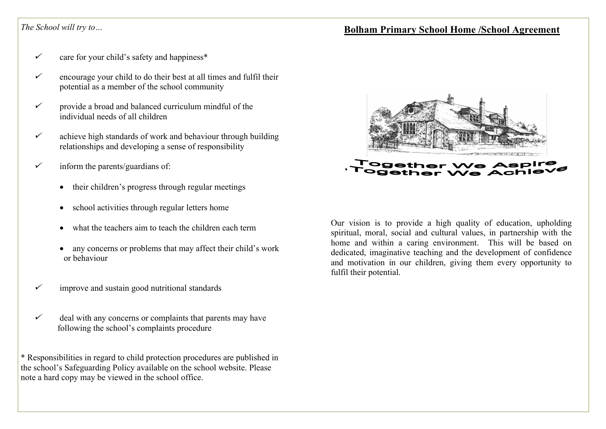# *The School will try to…*

- ücare for your child's safety and happiness\*
- ü encourage your child to do their best at all times and fulfil their potential as a member of the school community
- ü provide a broad and balanced curriculum mindful of the individual needs of all children
- ü achieve high standards of work and behaviour through building relationships and developing a sense of responsibility
- ü inform the parents/guardians of:
	- their children's progress through regular meetings
	- school activities through regular letters home
	- what the teachers aim to teach the children each term
	- any concerns or problems that may affect their child's work or behaviour
- üimprove and sustain good nutritional standards
- ü deal with any concerns or complaints that parents may have following the school's complaints procedure

\* Responsibilities in regard to child protection procedures are published in the school's Safeguarding Policy available on the school website. Please note a hard copy may be viewed in the school office.



Our vision is to provide a high quality of education, upholding spiritual, moral, social and cultural values, in partnership with the home and within a caring environment. This will be based on dedicated, imaginative teaching and the development of confidence and motivation in our children, giving them every opportunity to fulfil their potential.

# **Bolham Primary School Home /School Agreement**